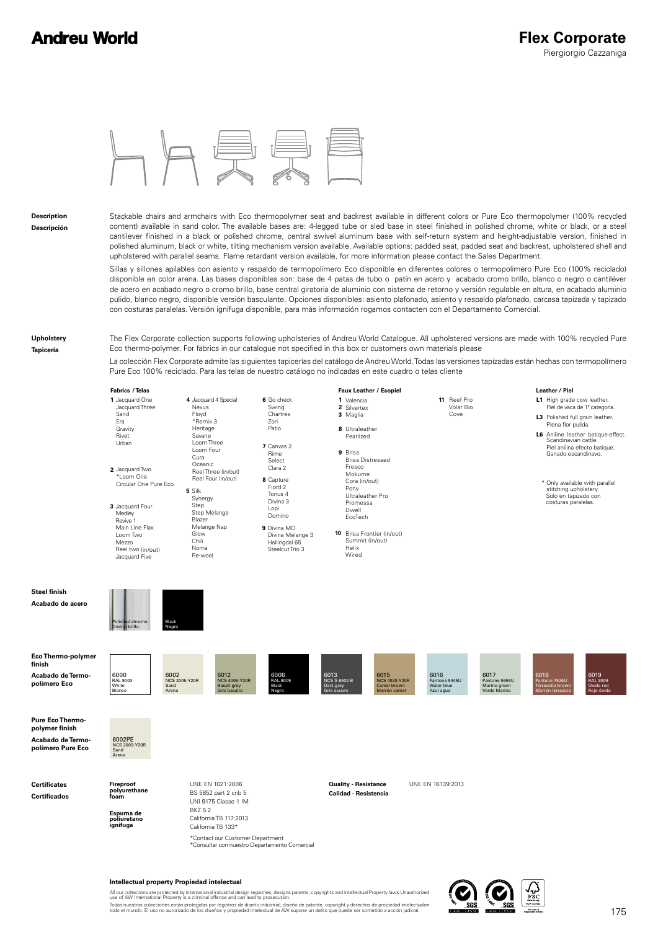

**Description Descripción** Stackable chairs and armchairs with Eco thermopolymer seat and backrest available in different colors or Pure Eco thermopolymer (100% recycled content) available in sand color. The available bases are: 4-legged tube or sled base in steel finished in polished chrome, white or black, or a steel cantilever finished in a black or polished chrome, central swivel aluminum base with self-return system and height-adjustable version, finished in polished aluminum, black or white, tilting mechanism version available. Available options: padded seat, padded seat and backrest, upholstered shell and upholstered with parallel seams. Flame retardant version available, for more information please contact the Sales Department.

Sillas y sillones apilables con asiento y respaldo de termopolímero Eco disponible en diferentes colores o termopolimero Pure Eco (100% reciclado) disponible en color arena. Las bases disponibles son: base de 4 patas de tubo o patín en acero y acabado cromo brillo, blanco o negro o cantiléver de acero en acabado negro o cromo brillo, base central giratoria de aluminio con sistema de retorno y versión regulable en altura, en acabado aluminio pulido, blanco negro, disponible versión basculante. Opciones disponibles: asiento plafonado, asiento y respaldo plafonado, carcasa tapizada y tapizado con costuras paralelas. Versión ignífuga disponible, para más información rogamos contacten con el Departamento Comercial.

**Upholstery Tapicería**

The Flex Corporate collection supports following upholsteries of Andreu World Catalogue. All upholstered versions are made with 100% recycled Pure Eco thermo-polymer. For fabrics in our catalogue not specified in this box or customers own materials please

La colección Flex Corporate admite las siguientes tapicerías del catálogo de Andreu World. Todas las versiones tapizadas están hechas con termopolímero Pure Eco 100% reciclado. Para las telas de nuestro catálogo no indicadas en este cuadro o telas cliente

**11** Reef Pro

Volar Bio Cove



- **1** Jacquard One Jacquard Three Sand Era Gravity Rivet Urbar
- **5** Silk **2** Jacquard Two \*Loom One Circular One Pure Eco
- **3** Jacquard Four Synergy Step Step Melange Blazer Melange Nap Glow Chili Noma Re-wool Medley Revive 1 Main Line Flax Loom Two Loo..<br>Mazzo Reel two (in/out) Jacquard Five

Black Negro

Polished chrome Cromo brillo

**8** Capture **7** Canvas 2 Fiord 2 Tonus 4 Divina 3 Lopi Domino Swing Chartres  $Z_{\alpha r}$ Patio Rime Select Clara 2

**6** Go check

**4** Jacquard 4 Special

**Nexus** Floyd \*Remix 3 Heritage Savane Loom Three Loom Four Cura Oceanic Reel Three (in/out) Reel Four (in/out)

> **9** Divina MD Divina Melange 3 Hallingdal 65 Steelcut Trio 3



**10** Brisa Frontier (in/out) Summit (in/out) Helix Wired

#### Leather / Piel

- L1 High grade cow leather.<br>Piel de vaca de 1ª categoría. **L3** Polished full grain leather.
- **L6** Aniline leather batique-effect. Plena flor pulida. Piel anilina efecto batique. Ganado escandinavo. Scandinavian cattle.
	- Solo en tapizado con costuras paralelas. \* Only available with parallel stitching upholstery.



**polímero Pure Eco**

**Certificates Certificados**

**Steel finish Acabado de acero**

> **Espuma de poliuretano ignífuga Fireproof polyurethane foam**

Sand Arena

> UNE EN 1021:2006 **Duality - Resistance** UNE EN 16139:2013 BS 5852 part 2 crib 5 UNI 9175 Classe 1 IM BKZ 5.2 California TB 117:2013 California TB 133\* \*Contact our Customer Department<br>\*Consultar con nuestro Departamento Comercial

**Calidad - Resistencia**



All our collections are protected by international industrial design registries, designs patents, copyrights and intellectual Property laws.Unauthorized<br>use of AW International Property is a criminal offence and can lead t Todas nuestras colecciones están protegidas por registros de diseño industrial, diseño de patente, copyright y derechos de propiedad intelectualen<br>todo el mundo. El uso no autorizado de los diseños y propiedad intelectual

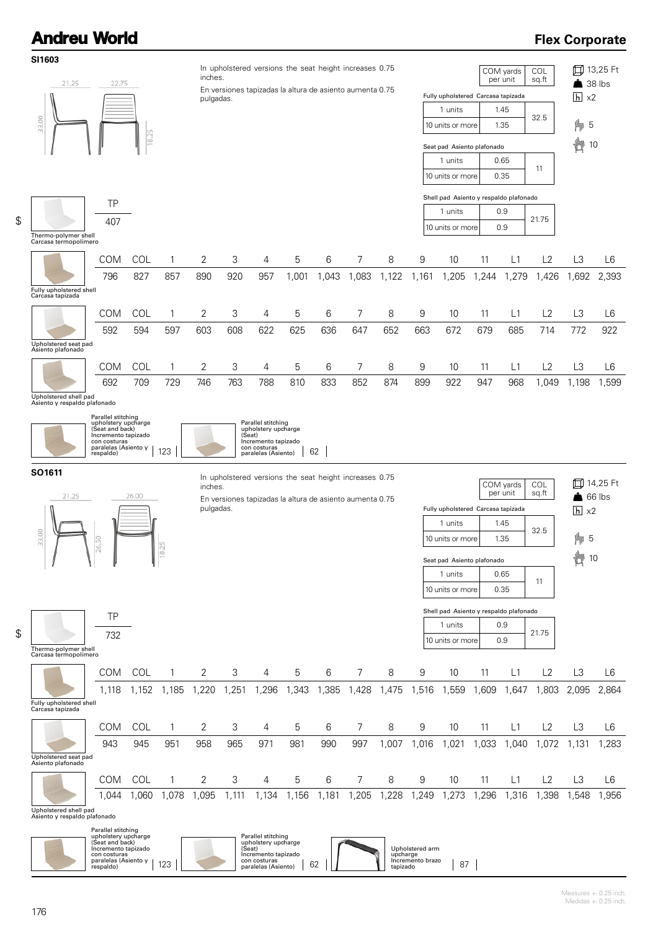### **Flex Corporate**



 $\mathbf{1}$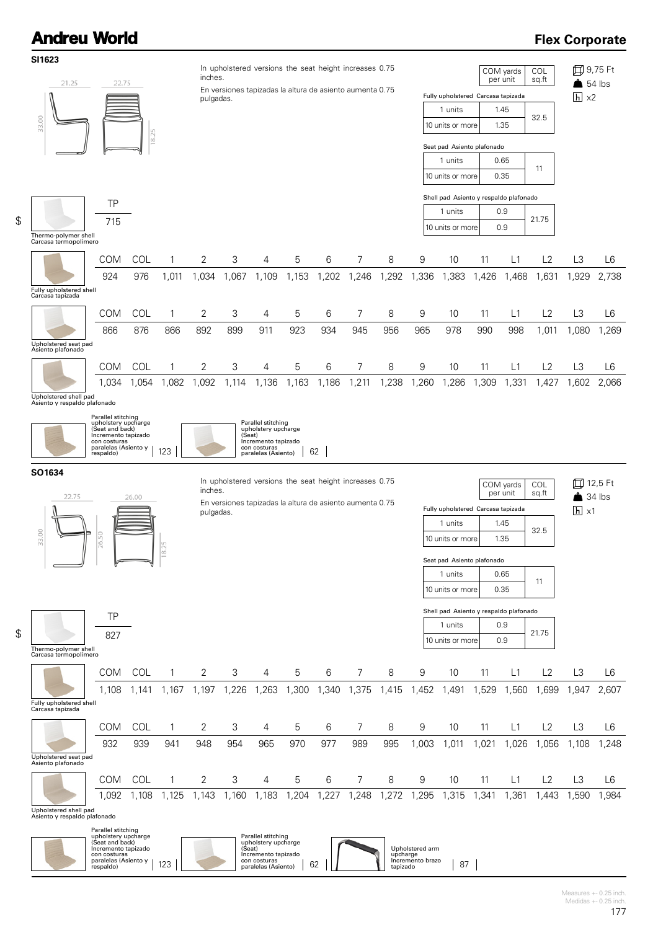#### **Flex Corporate**



 $\mathbf{1}$ 

Measures +- 0.25 inch. Medidas  $+-0.25$  inch.

Incremento brazo | 87 |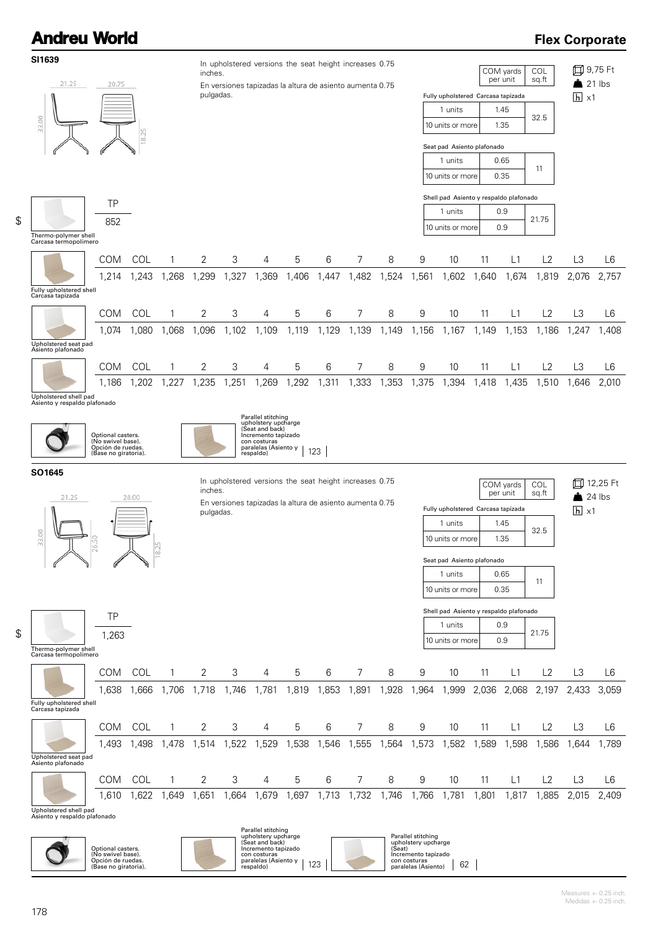#### **Flex Corporate**

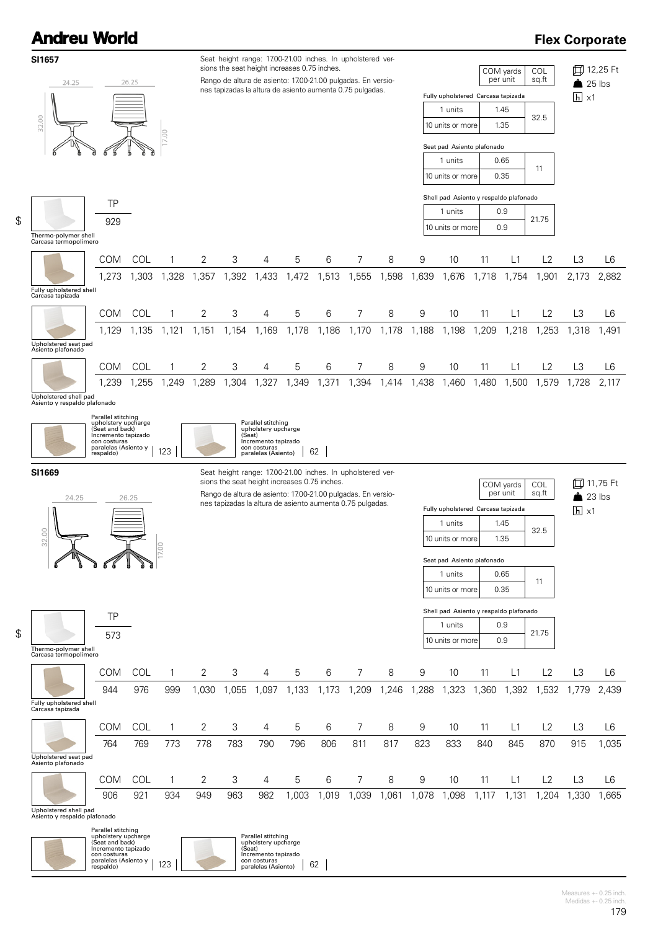\$

\$

### **Flex Corporate**



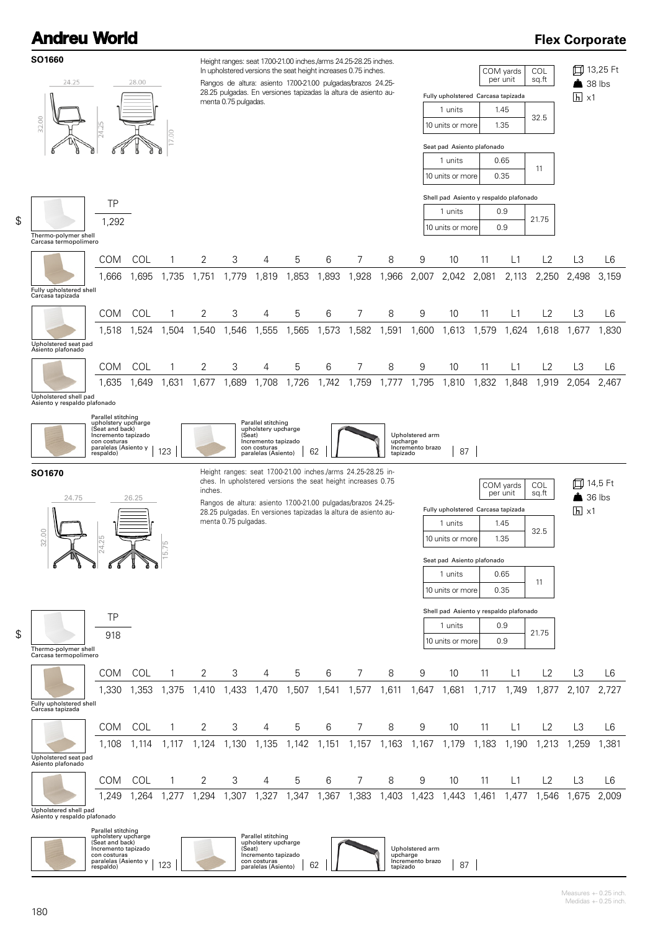### **Flex Corporate**



 $\mathbf{1}$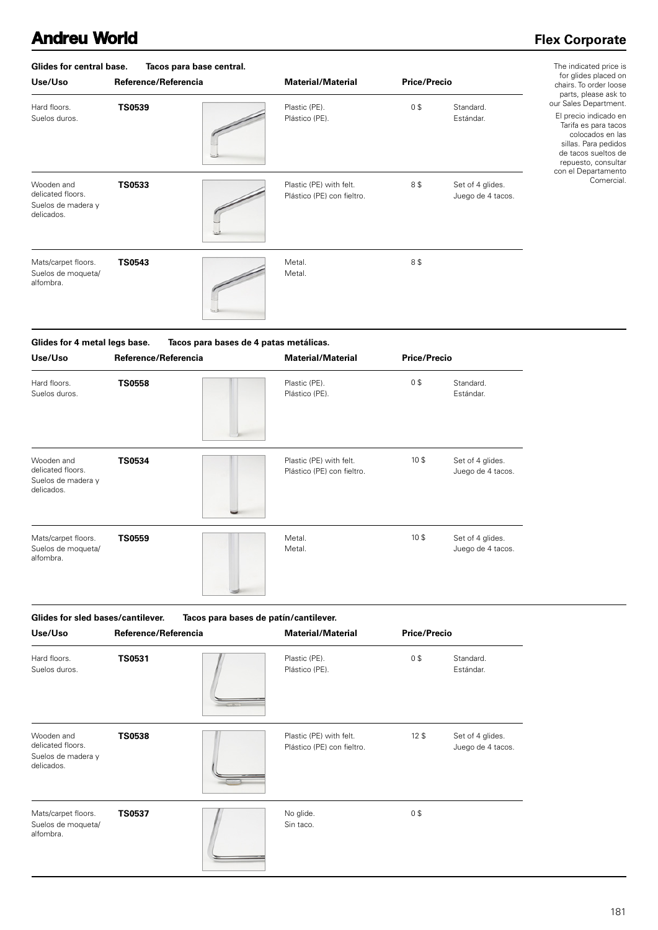### **Flex Corporate**

| Glides for central base.<br>Use/Uso                                 | Tacos para base central.<br>Reference/Referencia | <b>Material/Material</b>                              | <b>Price/Precio</b> |                                       | The indicated price is<br>for glides placed on<br>chairs. To order loose                                                                                                                 |
|---------------------------------------------------------------------|--------------------------------------------------|-------------------------------------------------------|---------------------|---------------------------------------|------------------------------------------------------------------------------------------------------------------------------------------------------------------------------------------|
| Hard floors.<br>Suelos duros.                                       | <b>TS0539</b>                                    | Plastic (PE).<br>Plástico (PE).                       | 0\$                 | Standard.<br>Estándar.                | parts, please ask to<br>our Sales Department.<br>El precio indicado en<br>Tarifa es para tacos<br>colocados en las<br>sillas. Para pedidos<br>de tacos sueltos de<br>repuesto, consultar |
| Wooden and<br>delicated floors.<br>Suelos de madera y<br>delicados. | <b>TS0533</b>                                    | Plastic (PE) with felt.<br>Plástico (PE) con fieltro. | 8\$                 | Set of 4 glides.<br>Juego de 4 tacos. | con el Departamento<br>Comercial.                                                                                                                                                        |
| Mats/carpet floors.<br>Suelos de moqueta/<br>alfombra.              | <b>TS0543</b>                                    | Metal.<br>Metal.                                      | 8\$                 |                                       |                                                                                                                                                                                          |

| Glides for 4 metal legs base.                                       |                      | Tacos para bases de 4 patas metálicas.                |                     |                                       |  |
|---------------------------------------------------------------------|----------------------|-------------------------------------------------------|---------------------|---------------------------------------|--|
| Use/Uso                                                             | Reference/Referencia | <b>Material/Material</b>                              | <b>Price/Precio</b> |                                       |  |
| Hard floors.<br>Suelos duros.                                       | <b>TS0558</b>        | Plastic (PE).<br>Plástico (PE).                       | 0\$                 | Standard.<br>Estándar.                |  |
| Wooden and<br>delicated floors.<br>Suelos de madera y<br>delicados. | <b>TS0534</b>        | Plastic (PE) with felt.<br>Plástico (PE) con fieltro. | 10 <sup>3</sup>     | Set of 4 glides.<br>Juego de 4 tacos. |  |
| Mats/carpet floors.<br>Suelos de moqueta/<br>alfombra.              | <b>TS0559</b>        | Metal.<br>Metal.                                      | 10 <sup>5</sup>     | Set of 4 glides.<br>Juego de 4 tacos. |  |

| Glides for sled bases/cantilever.                                   |                      | Tacos para bases de patín/cantilever. |                                                       |                     |                                       |
|---------------------------------------------------------------------|----------------------|---------------------------------------|-------------------------------------------------------|---------------------|---------------------------------------|
| Use/Uso                                                             | Reference/Referencia |                                       | <b>Material/Material</b>                              | <b>Price/Precio</b> |                                       |
| Hard floors.<br>Suelos duros.                                       | <b>TS0531</b>        |                                       | Plastic (PE).<br>Plástico (PE).                       | 0\$                 | Standard.<br>Estándar.                |
| Wooden and<br>delicated floors.<br>Suelos de madera y<br>delicados. | <b>TS0538</b>        |                                       | Plastic (PE) with felt.<br>Plástico (PE) con fieltro. | 12 <sup>5</sup>     | Set of 4 glides.<br>Juego de 4 tacos. |
| Mats/carpet floors.<br>Suelos de moqueta/<br>alfombra.              | <b>TS0537</b>        |                                       | No glide.<br>Sin taco.                                | 0\$                 |                                       |